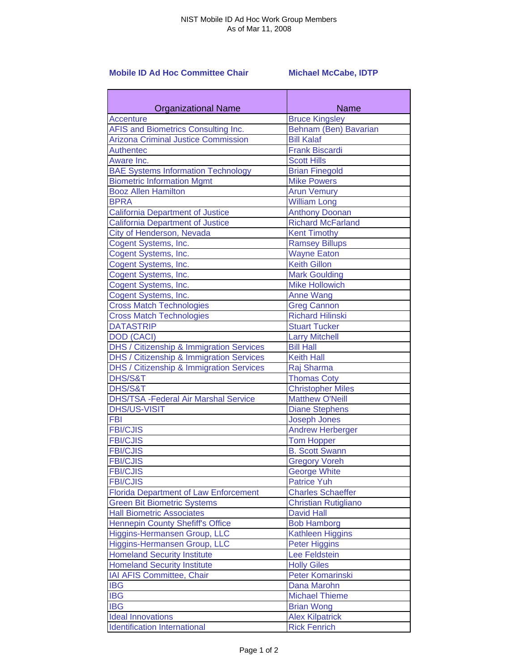## **Mobile ID Ad Hoc Committee Chair Michael McCabe, IDTP**

| <b>Organizational Name</b>                   | Name                        |
|----------------------------------------------|-----------------------------|
| <b>Accenture</b>                             | <b>Bruce Kingsley</b>       |
| AFIS and Biometrics Consulting Inc.          | Behnam (Ben) Bavarian       |
| <b>Arizona Criminal Justice Commission</b>   | <b>Bill Kalaf</b>           |
| <b>Authentec</b>                             | <b>Frank Biscardi</b>       |
| Aware Inc.                                   | <b>Scott Hills</b>          |
| <b>BAE Systems Information Technology</b>    | <b>Brian Finegold</b>       |
| <b>Biometric Information Mgmt</b>            | <b>Mike Powers</b>          |
| <b>Booz Allen Hamilton</b>                   | <b>Arun Vemury</b>          |
| <b>BPRA</b>                                  | <b>William Long</b>         |
| <b>California Department of Justice</b>      | <b>Anthony Doonan</b>       |
| <b>California Department of Justice</b>      | <b>Richard McFarland</b>    |
| City of Henderson, Nevada                    | <b>Kent Timothy</b>         |
| Cogent Systems, Inc.                         | <b>Ramsey Billups</b>       |
| Cogent Systems, Inc.                         | <b>Wayne Eaton</b>          |
| Cogent Systems, Inc.                         | <b>Keith Gillon</b>         |
| Cogent Systems, Inc.                         | <b>Mark Goulding</b>        |
| Cogent Systems, Inc.                         | <b>Mike Hollowich</b>       |
| Cogent Systems, Inc.                         | <b>Anne Wang</b>            |
| <b>Cross Match Technologies</b>              | <b>Greg Cannon</b>          |
| <b>Cross Match Technologies</b>              | <b>Richard Hilinski</b>     |
| <b>DATASTRIP</b>                             | <b>Stuart Tucker</b>        |
| <b>DOD (CACI)</b>                            | <b>Larry Mitchell</b>       |
| DHS / Citizenship & Immigration Services     | <b>Bill Hall</b>            |
| DHS / Citizenship & Immigration Services     | <b>Keith Hall</b>           |
| DHS / Citizenship & Immigration Services     | Raj Sharma                  |
| DHS/S&T                                      | <b>Thomas Coty</b>          |
| DHS/S&T                                      | <b>Christopher Miles</b>    |
| <b>DHS/TSA - Federal Air Marshal Service</b> | <b>Matthew O'Neill</b>      |
| <b>DHS/US-VISIT</b>                          | <b>Diane Stephens</b>       |
| <b>FBI</b>                                   | <b>Joseph Jones</b>         |
| <b>FBI/CJIS</b>                              | <b>Andrew Herberger</b>     |
| <b>FBI/CJIS</b>                              | <b>Tom Hopper</b>           |
| <b>FBI/CJIS</b>                              | <b>B. Scott Swann</b>       |
| <b>FBI/CJIS</b>                              | <b>Gregory Voreh</b>        |
| <b>FBI/CJIS</b>                              | George White                |
| <b>FBI/CJIS</b>                              | <b>Patrice Yuh</b>          |
| <b>Florida Department of Law Enforcement</b> | <b>Charles Schaeffer</b>    |
| <b>Green Bit Biometric Systems</b>           | <b>Christian Rutigliano</b> |
| <b>Hall Biometric Associates</b>             | <b>David Hall</b>           |
| <b>Hennepin County Shefiff's Office</b>      | <b>Bob Hamborg</b>          |
| Higgins-Hermansen Group, LLC                 | <b>Kathleen Higgins</b>     |
| Higgins-Hermansen Group, LLC                 | <b>Peter Higgins</b>        |
| <b>Homeland Security Institute</b>           | <b>Lee Feldstein</b>        |
| <b>Homeland Security Institute</b>           | <b>Holly Giles</b>          |
| IAI AFIS Committee, Chair                    | Peter Komarinski            |
| <b>IBG</b>                                   | Dana Marohn                 |
| <b>IBG</b>                                   | <b>Michael Thieme</b>       |
| <b>IBG</b>                                   | <b>Brian Wong</b>           |
| <b>Ideal Innovations</b>                     | <b>Alex Kilpatrick</b>      |
| <b>Identification International</b>          | <b>Rick Fenrich</b>         |